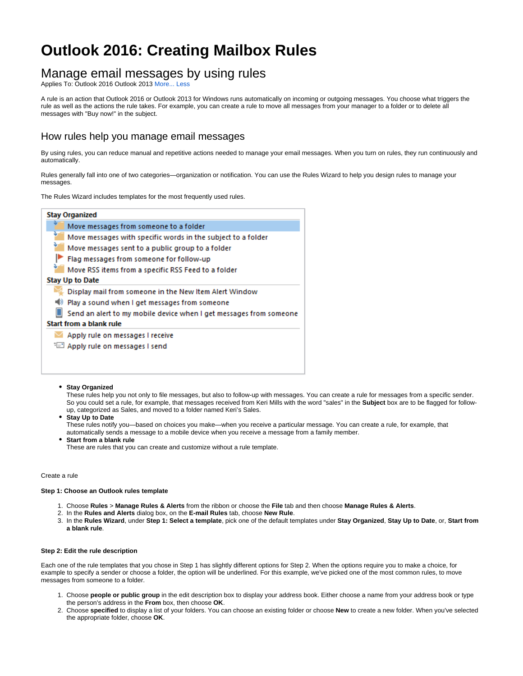# **Outlook 2016: Creating Mailbox Rules**

# Manage email messages by using rules

Applies To: Outlook 2016 Outlook 2013 More... Less

A rule is an action that Outlook 2016 or Outlook 2013 for Windows runs automatically on incoming or outgoing messages. You choose what triggers the rule as well as the actions the rule takes. For example, you can create a rule to move all messages from your manager to a folder or to delete all messages with "Buy now!" in the subject.

## How rules help you manage email messages

By using rules, you can reduce manual and repetitive actions needed to manage your email messages. When you turn on rules, they run continuously and automatically.

Rules generally fall into one of two categories—organization or notification. You can use the Rules Wizard to help you design rules to manage your messages.

The Rules Wizard includes templates for the most frequently used rules.

| <b>Stay Organized</b>                                              |
|--------------------------------------------------------------------|
| Move messages from someone to a folder                             |
| Move messages with specific words in the subject to a folder       |
| Move messages sent to a public group to a folder                   |
| Flag messages from someone for follow-up                           |
| Move RSS items from a specific RSS Feed to a folder                |
| <b>Stay Up to Date</b>                                             |
| Display mail from someone in the New Item Alert Window             |
| Play a sound when I get messages from someone                      |
| Send an alert to my mobile device when I get messages from someone |
| Start from a blank rule                                            |
| Apply rule on messages I receive                                   |
| Fell Apply rule on messages I send                                 |
|                                                                    |

#### **• Stay Organized**

These rules help you not only to file messages, but also to follow-up with messages. You can create a rule for messages from a specific sender. So you could set a rule, for example, that messages received from Keri Mills with the word "sales" in the **Subject** box are to be flagged for followup, categorized as Sales, and moved to a folder named Keri's Sales.

**Stay Up to Date**

These rules notify you—based on choices you make—when you receive a particular message. You can create a rule, for example, that automatically sends a message to a mobile device when you receive a message from a family member.

**Start from a blank rule** These are rules that you can create and customize without a rule template.

#### Create a rule

#### **Step 1: Choose an Outlook rules template**

- 1. Choose **Rules** > **Manage Rules & Alerts** from the ribbon or choose the **File** tab and then choose **Manage Rules & Alerts**.
- 2. In the **Rules and Alerts** dialog box, on the **E-mail Rules** tab, choose **New Rule**.
- 3. In the **Rules Wizard**, under **Step 1: Select a template**, pick one of the default templates under **Stay Organized**, **Stay Up to Date**, or, **Start from a blank rule**.

#### **Step 2: Edit the rule description**

Each one of the rule templates that you chose in Step 1 has slightly different options for Step 2. When the options require you to make a choice, for example to specify a sender or choose a folder, the option will be underlined. For this example, we've picked one of the most common rules, to move messages from someone to a folder.

- 1. Choose **people or public group** in the edit description box to display your address book. Either choose a name from your address book or type the person's address in the **From** box, then choose **OK**.
- 2. Choose **specified** to display a list of your folders. You can choose an existing folder or choose **New** to create a new folder. When you've selected the appropriate folder, choose **OK**.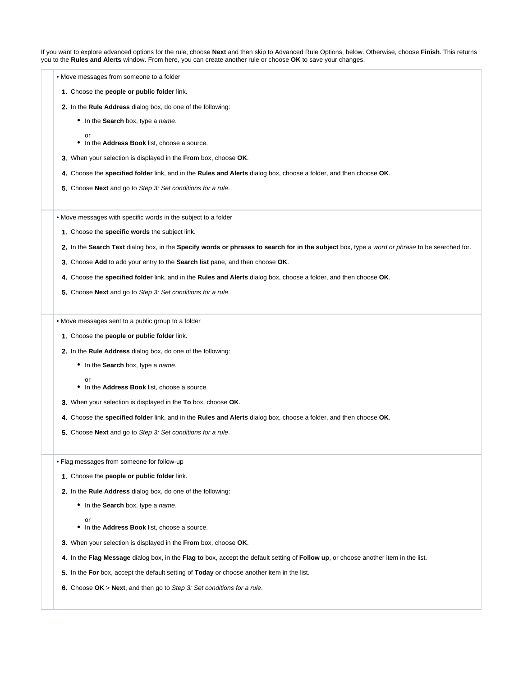If you want to explore advanced options for the rule, choose **Next** and then skip to Advanced Rule Options, below. Otherwise, choose **Finish**. This returns you to the **Rules and Alerts** window. From here, you can create another rule or choose **OK** to save your changes.

- Move messages from someone to a folder
	- 1. Choose the **people or public folder** link.
	- 2. In the **Rule Address** dialog box, do one of the following:
		- In the **Search** box, type a name.
			- or
		- In the **Address Book** list, choose a source.
	- 3. When your selection is displayed in the **From** box, choose **OK**.
	- 4. Choose the **specified folder** link, and in the **Rules and Alerts** dialog box, choose a folder, and then choose **OK**.
	- 5. Choose **Next** and go to Step 3: Set conditions for a rule.

• Move messages with specific words in the subject to a folder

- 1. Choose the **specific words** the subject link.
- 2. In the **Search Text** dialog box, in the **Specify words or phrases to search for in the subject** box, type a word or phrase to be searched for.
- 3. Choose **Add** to add your entry to the **Search list** pane, and then choose **OK**.
- 4. Choose the **specified folder** link, and in the **Rules and Alerts** dialog box, choose a folder, and then choose **OK**.
- 5. Choose **Next** and go to Step 3: Set conditions for a rule.

• Move messages sent to a public group to a folder

- 1. Choose the **people or public folder** link.
- 2. In the **Rule Address** dialog box, do one of the following:
	- In the **Search** box, type a name.

or

- In the **Address Book** list, choose a source.
- 3. When your selection is displayed in the **To** box, choose **OK**.
- 4. Choose the **specified folder** link, and in the **Rules and Alerts** dialog box, choose a folder, and then choose **OK**.
- 5. Choose **Next** and go to Step 3: Set conditions for a rule.
- Flag messages from someone for follow-up
	- 1. Choose the **people or public folder** link.
	- 2. In the **Rule Address** dialog box, do one of the following:
		- In the **Search** box, type a name.
		- or In the **Address Book** list, choose a source.
	- 3. When your selection is displayed in the **From** box, choose **OK**.
	- 4. In the **Flag Message** dialog box, in the **Flag to** box, accept the default setting of **Follow up**, or choose another item in the list.
	- 5. In the **For** box, accept the default setting of **Today** or choose another item in the list.
	- 6. Choose **OK** > **Next**, and then go to Step 3: Set conditions for a rule.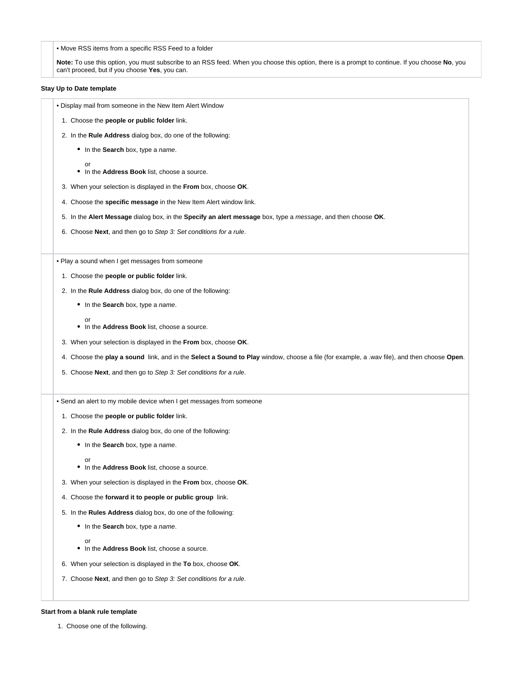• Move RSS items from a specific RSS Feed to a folder

**Note:** To use this option, you must subscribe to an RSS feed. When you choose this option, there is a prompt to continue. If you choose **No**, you can't proceed, but if you choose **Yes**, you can.

### **Stay Up to Date template**

• Display mail from someone in the New Item Alert Window

- 1. Choose the **people or public folder** link.
- 2. In the **Rule Address** dialog box, do one of the following:
	- In the **Search** box, type a name.
		- or
	- In the **Address Book** list, choose a source.
- 3. When your selection is displayed in the **From** box, choose **OK**.
- 4. Choose the **specific message** in the New Item Alert window link.
- 5. In the **Alert Message** dialog box, in the **Specify an alert message** box, type a message, and then choose **OK**.
- 6. Choose **Next**, and then go to Step 3: Set conditions for a rule.

• Play a sound when I get messages from someone

- 1. Choose the **people or public folder** link.
- 2. In the **Rule Address** dialog box, do one of the following:
	- In the **Search** box, type a name.
		- or
	- In the **Address Book** list, choose a source.
- 3. When your selection is displayed in the **From** box, choose **OK**.
- 4. Choose the **play a sound** link, and in the **Select a Sound to Play** window, choose a file (for example, a .wav file), and then choose **Open**.
- 5. Choose **Next**, and then go to Step 3: Set conditions for a rule.
- Send an alert to my mobile device when I get messages from someone
	- 1. Choose the **people or public folder** link.
	- 2. In the **Rule Address** dialog box, do one of the following:
		- In the **Search** box, type a name.
			- or
		- In the **Address Book** list, choose a source.
	- 3. When your selection is displayed in the **From** box, choose **OK**.
	- 4. Choose the **forward it to people or public group** link.
	- 5. In the **Rules Address** dialog box, do one of the following:
		- In the **Search** box, type a name.
		- In the **Address Book** list, choose a source.
	- 6. When your selection is displayed in the **To** box, choose **OK**.
	- 7. Choose **Next**, and then go to Step 3: Set conditions for a rule.

#### **Start from a blank rule template**

or

1. Choose one of the following.